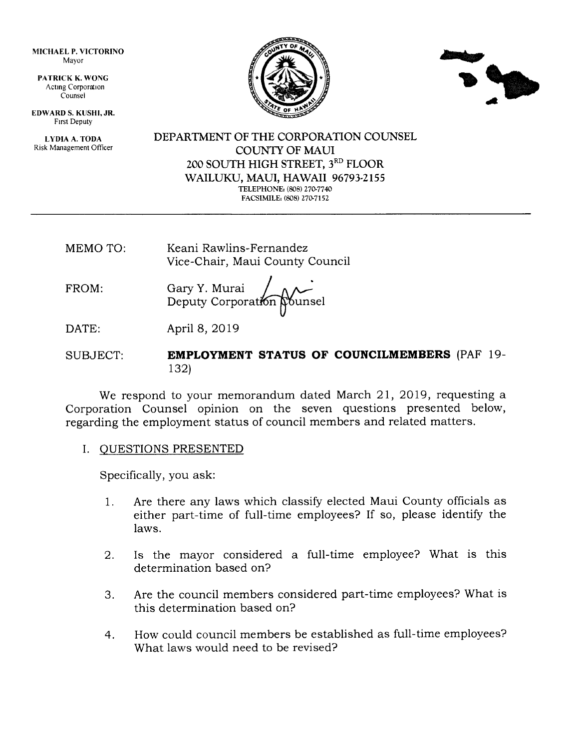MICHAEL P, VICTORINO Mayor

PATRICK K. WONG Acting Corporation Counsel

EDWARD S. KUSHI, JR. Frrst Deputy

LYDIA A. TODA Risk Management Officer





DEPARTMENT OF THE CORPORATION COUNSEL COUNTY OF MAUI 2OO SOUTH HIGH STREET, 3RD FLOOR WAILUKU, MAUI, HAWAII 96793.2155 TELEPHONE: (808) 270-7740 FACSIMILE: (808) 270-7152

- MEMO TO: Keani Rawlins-Fernandez Vice-Chair, Maui County Council
- FROM: Gary Y. Murai Deputy Corporation Nounsel

DATE: April 8, 2019

SUBJECT: EMPLOYMENT STATUS OF COUNCILMEMBERS (PAF 19-132)

We respond to your memorandum dated March 21, 2019, requesting a Corporation Counsel opinion on the seven questions presented below, regarding the employment status of council members and related matters.

I. OUESTIONS PRESENTED

Specifically, you ask:

- Are there any laws which classify elected Maui County officials as either part-time of full-time employees? If so, please identify the laws. 1
- Is the mayor considered a full-time employee? What is this determination based on? 2
- Are the council members considered part-time employees? What is this determination based on? 3.
- How could council members be established as full-time employees? What laws would need to be revised? 4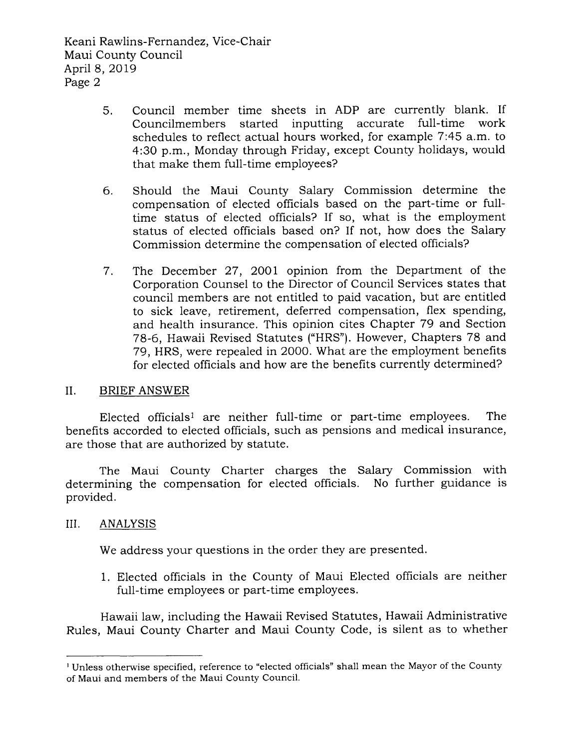- Council member time sheets in ADP are currently blank. If Councilmembers started inputting accurate full-time work schedules to reflect actual hours worked, for example 7:45 a.m. to 4:30 p.m., Monday through Friday, except County holidays, would that make them full-time employees? 5
- Should the Maui County Salary Commission determine the compensation of elected officials based on the part-time or fulltime status of elected officials? If so, what is the employment status of elected officials based on? If not, how does the Salary Commission determine the compensation of elected officials? 6
- The December 27, 2OOl opinion from the Department of the Corporation Counsel to the Director of Council Services states that council members are not entitled to paid vacation, but are entitled to sick leave, retirement, deferred compensation, flex spending, and health insurance. This opinion cites Chapter 79 and Section 78-6, Hawaii Revised Statutes ("HRS"). However, Chapters 78 and 79, HRS, were repealed in 2000. What are the employment benefits for elected officials and how are the benefits currently determined? 7

## II. BRIEF ANSWER

Elected officialsl are neither full-time or part-time employees. The benefits accorded to elected officials, such as pensions and medical insurance, are those that are authorized by statute.

The Maui County Charter charges the Salary Commission with determining the compensation for elected officials. No further guidance is provided.

## III. ANALYSIS

We address your questions in the order they are presented.

1. Elected officials in the County of Maui Elected officials are neither full-time employees or part-time employees.

Hawaii law, including the Hawaii Revised Statutes, Hawaii Administrative Rules, Maui County Charter and Maui County Code, is silent as to whether

<sup>&</sup>lt;sup>1</sup> Unless otherwise specified, reference to "elected officials" shall mean the Mayor of the County of Maui and members of the Maui County Council.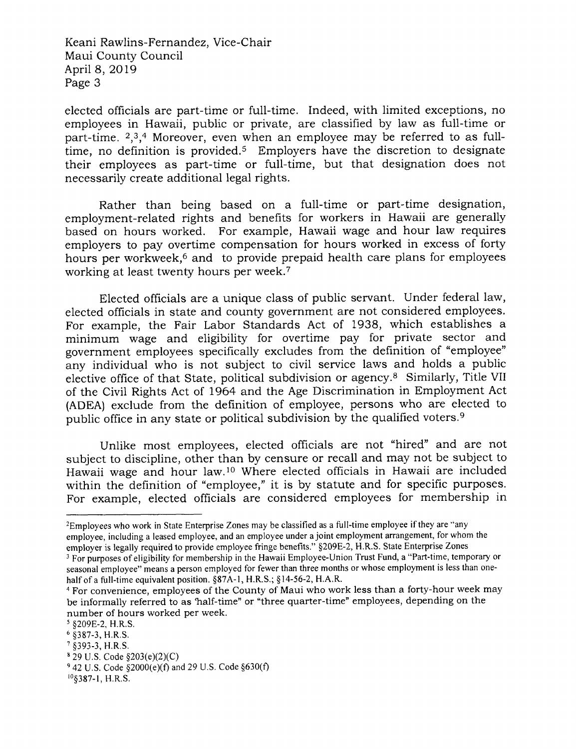elected officials are part-time or full-time. Indeed, with limited exceptions, no employees in Hawaii, public or private, are classified by law as full-time or part-time.  $2,3,4$  Moreover, even when an employee may be referred to as fulltime, no definition is provided.<sup>5</sup> Employers have the discretion to designate their employees as part-time or full-time, but that designation does not necessarily create additional legal rights.

Rather than being based on a full-time or part-time designation, employment-related rights and benefits for workers in Hawaii are generally based on hours worked. For example, Hawaii wage and hour law requires employers to pay overtime compensation for hours worked in excess of forty hours per workweek,<sup>6</sup> and to provide prepaid health care plans for employees working at least twenty hours per week.7

Elected officials are a unique class of public servant. Under federal law, elected officials in state and county government are not considered employees. For example, the Fair Labor Standards Act of 1938, which establishes <sup>a</sup> minimum wage and eligibility for overtime pay for private sector and government employees specifically excludes from the definition of "employee" any individual who is not subject to civil service laws and holds a public elective office of that State, political subdivision or agency.<sup>8</sup> Similarly, Title VII of the Civil Rights Act of 7964 and the Age Discrimination in Employment Act (ADEA) exclude from the definition of employee, persons who are elected to public office in any state or political subdivision by the qualified voters.<sup>9</sup>

Unlike most employees, elected officials are not "hired" and are not subject to discipline, other than by censure or recall and may not be subject to Hawaii wage and hour law.<sup>10</sup> Where elected officials in Hawaii are included within the definition of "employee," it is by statute and for specific purposes. For example, elected officials are considered employees for membership in

<sup>&</sup>lt;sup>2</sup>Employees who work in State Enterprise Zones may be classified as a full-time employee if they are "any employee, including a leased employee, and an employee under a joint employment arrangement, for whom the employer is legally required to provide employee fringe benefits." \$209E-2, H,R.S. State Enterprise Zones

<sup>&</sup>lt;sup>3</sup> For purposes of eligibility for membership in the Hawaii Employee-Union Trust Fund, a "Part-time, temporary or seasonal employee" means a person employed for fewer than three months or whose employment is less than onehalf of a full-time equivalent position.  $\S 87A-1$ , H.R.S.;  $\S 14-56-2$ , H.A.R.

<sup>&</sup>lt;sup>4</sup> For convenience, employees of the County of Maui who work less than a forty-hour week may be informally referred to as 'half-time" or "three quarter-time" employees, depending on the number of hours worked per week.

<sup>5</sup>\$209E-2, H.R.S.

<sup>6</sup>s3g7-3, H.R,S.

<sup>?</sup> \$393-3, H.R.S.

 $829$  U.S. Code  $$203(e)(2)(C)$ 

 $942$  U.S. Code  $$2000(e)(f)$  and 29 U.S. Code  $$630(f)$ 

<sup>10§387-1,</sup> H.R.S.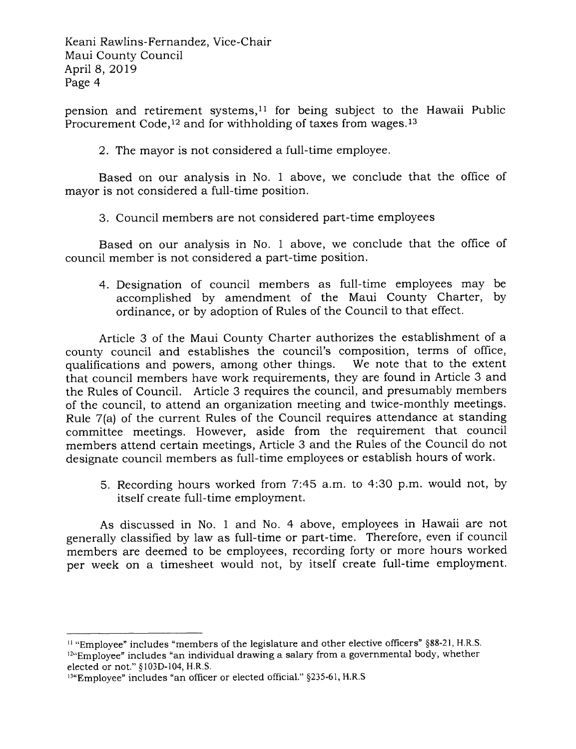pension and retirement systems,<sup>11</sup> for being subject to the Hawaii Public Procurement Code,<sup>12</sup> and for withholding of taxes from wages.<sup>13</sup>

2. The mayor is not considered a full-time employee.

Based on our analysis in No. 1 above, we conclude that the office of mayor is not considered a full-time position.

3. Council members are not considered part-time employees

Based on our analysis in No. 1 above, we conclude that the office of council member is not considered a part-time position.

4. Designation of council members as full-time employees may be accomplished by amendment of the Maui County Charter, by ordinance, or by adoption of Rules of the Council to that effect.

Article 3 of the Maui County Charter authorizes the establishment of <sup>a</sup> county council and establishes the council's composition, terms of office, qualifications and powers, among other things. We note that to the extent that council members have work requirements, they are found in Article 3 and the Rules of Council. Article 3 requires the council, and presumably members of the council, to attend an organization meeting and twice-monthly meetings. Rule 7(a) of the current Rules of the Council requires attendance at standing committee meetings. However, aside from the requirement that council members attend certain meetings, Article 3 and the Rules of the Council do not designate council members as full-time employees or establish hours of work.

5. Recording hours worked from 7:45 a.m. to 4:30 p.m. would not, by itself create full-time employment.

As discussed in No. 1 and No. 4 above, employees in Hawaii are not generally classified by law as full-time or part-time. Therefore, even if council members are deemed to be employees, recording forty or more hours worked per week on a timesheet would not, by itself create full-time employment.

 $11$  "Employee" includes "members of the legislature and other elective officers"  $§88-21$ , H.R.S.  $12\text{°-Employee}$ " includes "an individual drawing a salary from a governmental body, whether elected or not." Sl03D-104, H.R.S.

<sup>13&</sup>quot;Employee" includes "an officer or elected official." §235-61, H.R.S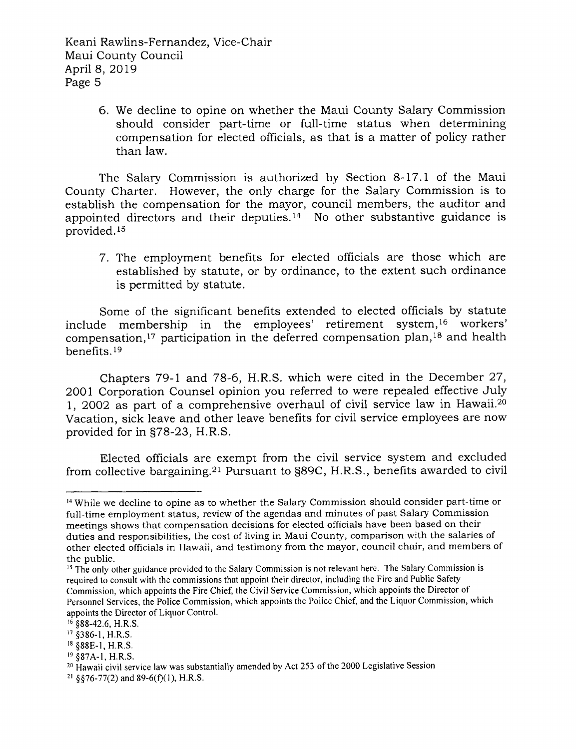> 6. We decline to opine on whether the Maui County Salary Commission should consider part-time or full-time status when determining compensation for elected officials, as that is a matter of policy rather than law.

The Salary Commission is authorized by Section 8-17.1 of the Maui County Charter. However, the only charge for the Salary Commission is to establish the compensation for the mayor, council members, the auditor and appointed directors and their deputies.<sup>14</sup> No other substantive guidance is provided.<sup>15</sup>

7. The employment benefits for elected officials are those which are established by statute, or by ordinance, to the extent such ordinance is permitted by statute.

Some of the significant benefits extended to elected officials by statute include membership in the employees' retirement system,16 workers' compensation,<sup>17</sup> participation in the deferred compensation plan,<sup>18</sup> and health benefits.<sup>19</sup>

Chapters 79-1 and 78-6, H.R.S. which were cited in the December 27, 2001 Corporation Counsel opinion you referred to were repealed effective July l, 2OO2 as part of a comprehensive overhaul of civil service law in Hawaii.2o Vacation, sick leave and other leave benefits for civil service employees are now provided for in 978-23, H.R.S.

Elected officials are exempt from the civil service system and excluded from collective bargaining.2l Pursuant to S89C, H.R.S., benefits awarded to civil

<sup>&</sup>lt;sup>14</sup> While we decline to opine as to whether the Salary Commission should consider part-time or full-time employment status, review of the agendas and minutes of past Salary Commission meetings shows that compensation decisions for elected officials have been based on their duties and responsibilities, the cost of living in Maui County, comparison with the salaries of other elected officials in Hawaii, and testimony from the mayor, council chair, and members of the public.

<sup>&</sup>lt;sup>15</sup> The only other guidance provided to the Salary Commission is not relevant here. The Salary Commission is required to consult with the commissions that appoint their director, including the Fire and Public Safety Commission, which appoints the Fire Chief, the Civil Service Commission, which appoints the Director of Personnel Services, the Police Commission, which appoints the Police Chief, and the Liquor Commission, which appoints the Director of Liquor Control.

 $16$  §88-42.6, H.R.S.

<sup>&</sup>lt;sup>17</sup> §386-1, H.R.S.

<sup>&</sup>lt;sup>18</sup> §88E-1, H.R.S.

 $19$  §87A-1, H.R.S.

 $20$  Hawaii civil service law was substantially amended by Act 253 of the 2000 Legislative Session

<sup>&</sup>lt;sup>21</sup> §§76-77(2) and 89-6(f)(1), H.R.S.